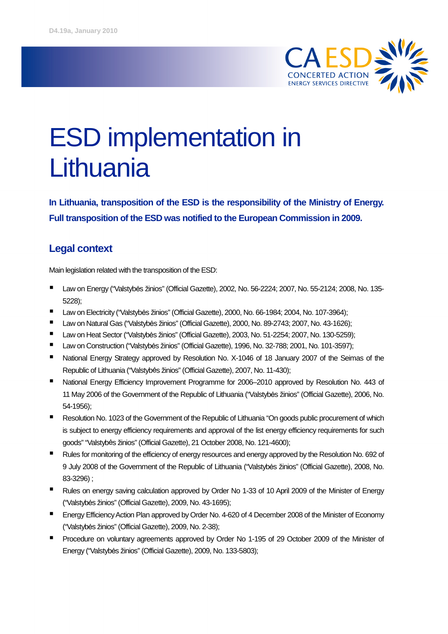

# ESD implementation in **Lithuania**

**In Lithuania, transposition of the ESD is the responsibility of the Ministry of Energy. Full transposition of the ESD was notified to the European Commission in 2009.**

## **Legal context**

Main legislation related with the transposition of the ESD:

- Law on Energy ("Valstybės žinios" (Official Gazette), 2002, No. 56-2224; 2007, No. 55-2124; 2008, No. 135-5228);
- Law on Electricity ("Valstybės žinios" (Official Gazette), 2000, No. 66-1984; 2004, No. 107-3964);
- Law on Natural Gas ("Valstybės žinios" (Official Gazette), 2000, No. 89-2743; 2007, No. 43-1626);
- Law on Heat Sector ("Valstybės žinios" (Official Gazette), 2003, No. 51-2254; 2007, No. 130-5259);
- Law on Construction ("Valstybės žinios" (Official Gazette), 1996, No. 32-788; 2001, No. 101-3597);
- National Energy Strategy approved by Resolution No. X-1046 of 18 January 2007 of the Seimas of the Republic of Lithuania ("Valstybės žinios" (Official Gazette), 2007, No. 11-430);
- National Energy Efficiency Improvement Programme for 2006-2010 approved by Resolution No. 443 of 11 May 2006 of the Government of the Republic of Lithuania ("Valstybės žinios" (Official Gazette), 2006, No. 54-1956);
- **Resolution No. 1023 of the Government of the Republic of Lithuania "On goods public procurement of which** is subject to energy efficiency requirements and approval of the list energy efficiency requirements for such goods" "Valstybės žinios" (Official Gazette), 21 October 2008, No. 121-4600);
- **Rules for monitoring of the efficiency of energy resources and energy approved by the Resolution No. 692 of** 9 July 2008 of the Government of the Republic of Lithuania ("Valstybės žinios" (Official Gazette), 2008, No. 83-3296) ;
- Rules on energy saving calculation approved by Order No 1-33 of 10 April 2009 of the Minister of Energy ("Valstybės žinios" (Official Gazette), 2009, No. 43-1695);
- Energy EfficiencyAction Plan approved by Order No. 4-620 of 4 December 2008 of the Minister of Economy ("Valstybės žinios" (Official Gazette), 2009, No. 2-38);
- **Procedure on voluntary agreements approved by Order No 1-195 of 29 October 2009 of the Minister of** Energy ("Valstybės žinios" (Official Gazette), 2009, No. 133-5803);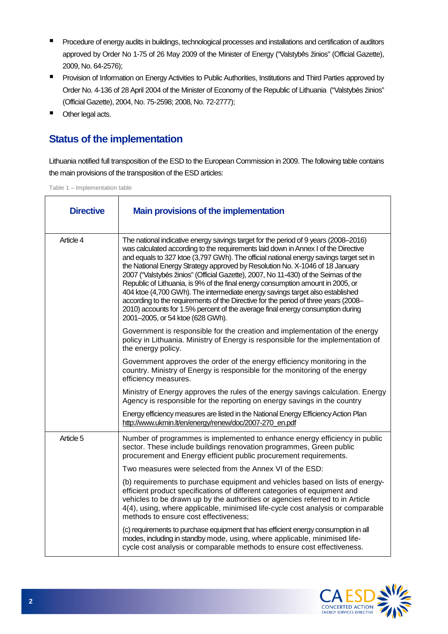- **Procedure of energy audits in buildings, technological processes and installations and certification of auditors** approved by Order No 1-75 of 26 May 2009 of the Minister of Energy ("Valstybės žinios" (Official Gazette), 2009, No. 64-2576);
- **Provision of Information on Energy Activities to Public Authorities, Institutions and Third Parties approved by** Order No. 4-136 of 28 April 2004 of the Minister of Economy of the Republic of Lithuania ("Valstybės žinios" (Official Gazette), 2004, No. 75-2598; 2008, No. 72-2777);
- **Other legal acts.**

## **Status of the implementation**

Lithuania notified full transposition of the ESD to the European Commission in 2009. The following table contains the main provisions of the transposition of the ESD articles:

Table 1 – Implementation table

| <b>Directive</b> | <b>Main provisions of the implementation</b>                                                                                                                                                                                                                                                                                                                                                                                                                                                                                                                                                                                                                                                                                                                                                                               |
|------------------|----------------------------------------------------------------------------------------------------------------------------------------------------------------------------------------------------------------------------------------------------------------------------------------------------------------------------------------------------------------------------------------------------------------------------------------------------------------------------------------------------------------------------------------------------------------------------------------------------------------------------------------------------------------------------------------------------------------------------------------------------------------------------------------------------------------------------|
| Article 4        | The national indicative energy savings target for the period of 9 years (2008–2016)<br>was calculated according to the requirements laid down in Annex I of the Directive<br>and equals to 327 ktoe (3,797 GWh). The official national energy savings target set in<br>the National Energy Strategy approved by Resolution No. X-1046 of 18 January<br>2007 ("Valstybės žinios" (Official Gazette), 2007, No 11-430) of the Seimas of the<br>Republic of Lithuania, is 9% of the final energy consumption amount in 2005, or<br>404 ktoe (4,700 GWh). The intermediate energy savings target also established<br>according to the requirements of the Directive for the period of three years (2008-<br>2010) accounts for 1.5% percent of the average final energy consumption during<br>2001-2005, or 54 ktoe (628 GWh). |
|                  | Government is responsible for the creation and implementation of the energy<br>policy in Lithuania. Ministry of Energy is responsible for the implementation of<br>the energy policy.                                                                                                                                                                                                                                                                                                                                                                                                                                                                                                                                                                                                                                      |
|                  | Government approves the order of the energy efficiency monitoring in the<br>country. Ministry of Energy is responsible for the monitoring of the energy<br>efficiency measures.                                                                                                                                                                                                                                                                                                                                                                                                                                                                                                                                                                                                                                            |
|                  | Ministry of Energy approves the rules of the energy savings calculation. Energy<br>Agency is responsible for the reporting on energy savings in the country                                                                                                                                                                                                                                                                                                                                                                                                                                                                                                                                                                                                                                                                |
|                  | Energy efficiency measures are listed in the National Energy Efficiency Action Plan<br>http://www.ukmin.lt/en/energy/renew/doc/2007-270_en.pdf                                                                                                                                                                                                                                                                                                                                                                                                                                                                                                                                                                                                                                                                             |
| Article 5        | Number of programmes is implemented to enhance energy efficiency in public<br>sector. These include buildings renovation programmes, Green public<br>procurement and Energy efficient public procurement requirements.                                                                                                                                                                                                                                                                                                                                                                                                                                                                                                                                                                                                     |
|                  | Two measures were selected from the Annex VI of the ESD:                                                                                                                                                                                                                                                                                                                                                                                                                                                                                                                                                                                                                                                                                                                                                                   |
|                  | (b) requirements to purchase equipment and vehicles based on lists of energy-<br>efficient product specifications of different categories of equipment and<br>vehicles to be drawn up by the authorities or agencies referred to in Article<br>4(4), using, where applicable, minimised life-cycle cost analysis or comparable<br>methods to ensure cost effectiveness:                                                                                                                                                                                                                                                                                                                                                                                                                                                    |
|                  | (c) requirements to purchase equipment that has efficient energy consumption in all<br>modes, including in standby mode, using, where applicable, minimised life-<br>cycle cost analysis or comparable methods to ensure cost effectiveness.                                                                                                                                                                                                                                                                                                                                                                                                                                                                                                                                                                               |

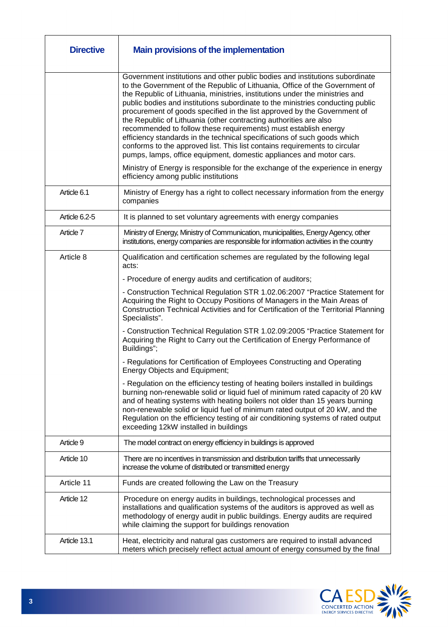| <b>Directive</b> | <b>Main provisions of the implementation</b>                                                                                                                                                                                                                                                                                                                                                                                                                                                                                                                                                                                                                                                                                                                                                                                                                         |
|------------------|----------------------------------------------------------------------------------------------------------------------------------------------------------------------------------------------------------------------------------------------------------------------------------------------------------------------------------------------------------------------------------------------------------------------------------------------------------------------------------------------------------------------------------------------------------------------------------------------------------------------------------------------------------------------------------------------------------------------------------------------------------------------------------------------------------------------------------------------------------------------|
|                  | Government institutions and other public bodies and institutions subordinate<br>to the Government of the Republic of Lithuania, Office of the Government of<br>the Republic of Lithuania, ministries, institutions under the ministries and<br>public bodies and institutions subordinate to the ministries conducting public<br>procurement of goods specified in the list approved by the Government of<br>the Republic of Lithuania (other contracting authorities are also<br>recommended to follow these requirements) must establish energy<br>efficiency standards in the technical specifications of such goods which<br>conforms to the approved list. This list contains requirements to circular<br>pumps, lamps, office equipment, domestic appliances and motor cars.<br>Ministry of Energy is responsible for the exchange of the experience in energy |
|                  | efficiency among public institutions                                                                                                                                                                                                                                                                                                                                                                                                                                                                                                                                                                                                                                                                                                                                                                                                                                 |
| Article 6.1      | Ministry of Energy has a right to collect necessary information from the energy<br>companies                                                                                                                                                                                                                                                                                                                                                                                                                                                                                                                                                                                                                                                                                                                                                                         |
| Article 6.2-5    | It is planned to set voluntary agreements with energy companies                                                                                                                                                                                                                                                                                                                                                                                                                                                                                                                                                                                                                                                                                                                                                                                                      |
| Article 7        | Ministry of Energy, Ministry of Communication, municipalities, Energy Agency, other<br>institutions, energy companies are responsible for information activities in the country                                                                                                                                                                                                                                                                                                                                                                                                                                                                                                                                                                                                                                                                                      |
| Article 8        | Qualification and certification schemes are regulated by the following legal<br>acts:                                                                                                                                                                                                                                                                                                                                                                                                                                                                                                                                                                                                                                                                                                                                                                                |
|                  | - Procedure of energy audits and certification of auditors;                                                                                                                                                                                                                                                                                                                                                                                                                                                                                                                                                                                                                                                                                                                                                                                                          |
|                  | - Construction Technical Regulation STR 1.02.06:2007 "Practice Statement for<br>Acquiring the Right to Occupy Positions of Managers in the Main Areas of<br>Construction Technical Activities and for Certification of the Territorial Planning<br>Specialists".                                                                                                                                                                                                                                                                                                                                                                                                                                                                                                                                                                                                     |
|                  | - Construction Technical Regulation STR 1.02.09:2005 "Practice Statement for<br>Acquiring the Right to Carry out the Certification of Energy Performance of<br>Buildings";                                                                                                                                                                                                                                                                                                                                                                                                                                                                                                                                                                                                                                                                                           |
|                  | - Regulations for Certification of Employees Constructing and Operating<br><b>Energy Objects and Equipment;</b>                                                                                                                                                                                                                                                                                                                                                                                                                                                                                                                                                                                                                                                                                                                                                      |
|                  | - Regulation on the efficiency testing of heating boilers installed in buildings<br>burning non-renewable solid or liquid fuel of minimum rated capacity of 20 kW<br>and of heating systems with heating boilers not older than 15 years burning<br>non-renewable solid or liquid fuel of minimum rated output of 20 kW, and the<br>Regulation on the efficiency testing of air conditioning systems of rated output<br>exceeding 12kW installed in buildings                                                                                                                                                                                                                                                                                                                                                                                                        |
| Article 9        | The model contract on energy efficiency in buildings is approved                                                                                                                                                                                                                                                                                                                                                                                                                                                                                                                                                                                                                                                                                                                                                                                                     |
| Article 10       | There are no incentives in transmission and distribution tariffs that unnecessarily<br>increase the volume of distributed or transmitted energy                                                                                                                                                                                                                                                                                                                                                                                                                                                                                                                                                                                                                                                                                                                      |
| Article 11       | Funds are created following the Law on the Treasury                                                                                                                                                                                                                                                                                                                                                                                                                                                                                                                                                                                                                                                                                                                                                                                                                  |
| Article 12       | Procedure on energy audits in buildings, technological processes and<br>installations and qualification systems of the auditors is approved as well as<br>methodology of energy audit in public buildings. Energy audits are required<br>while claiming the support for buildings renovation                                                                                                                                                                                                                                                                                                                                                                                                                                                                                                                                                                         |
| Article 13.1     | Heat, electricity and natural gas customers are required to install advanced<br>meters which precisely reflect actual amount of energy consumed by the final                                                                                                                                                                                                                                                                                                                                                                                                                                                                                                                                                                                                                                                                                                         |

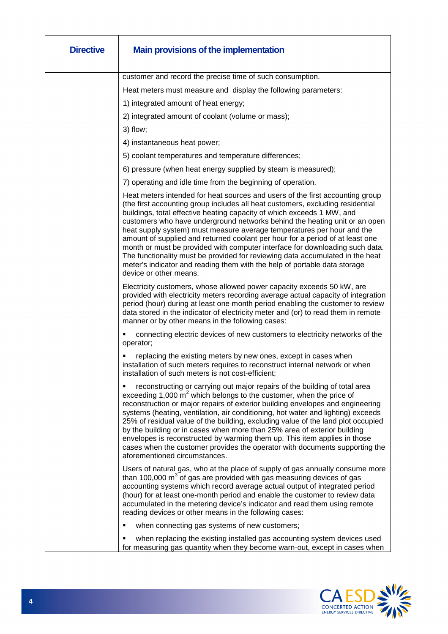| <b>Directive</b> | <b>Main provisions of the implementation</b>                                                                                                                                                                                                                                                                                                                                                                                                                                                                                                                                                                                                                                                                                                               |
|------------------|------------------------------------------------------------------------------------------------------------------------------------------------------------------------------------------------------------------------------------------------------------------------------------------------------------------------------------------------------------------------------------------------------------------------------------------------------------------------------------------------------------------------------------------------------------------------------------------------------------------------------------------------------------------------------------------------------------------------------------------------------------|
|                  | customer and record the precise time of such consumption.                                                                                                                                                                                                                                                                                                                                                                                                                                                                                                                                                                                                                                                                                                  |
|                  | Heat meters must measure and display the following parameters:                                                                                                                                                                                                                                                                                                                                                                                                                                                                                                                                                                                                                                                                                             |
|                  | 1) integrated amount of heat energy;                                                                                                                                                                                                                                                                                                                                                                                                                                                                                                                                                                                                                                                                                                                       |
|                  | 2) integrated amount of coolant (volume or mass);                                                                                                                                                                                                                                                                                                                                                                                                                                                                                                                                                                                                                                                                                                          |
|                  | $3)$ flow;                                                                                                                                                                                                                                                                                                                                                                                                                                                                                                                                                                                                                                                                                                                                                 |
|                  | 4) instantaneous heat power;                                                                                                                                                                                                                                                                                                                                                                                                                                                                                                                                                                                                                                                                                                                               |
|                  | 5) coolant temperatures and temperature differences;                                                                                                                                                                                                                                                                                                                                                                                                                                                                                                                                                                                                                                                                                                       |
|                  | 6) pressure (when heat energy supplied by steam is measured);                                                                                                                                                                                                                                                                                                                                                                                                                                                                                                                                                                                                                                                                                              |
|                  | 7) operating and idle time from the beginning of operation.                                                                                                                                                                                                                                                                                                                                                                                                                                                                                                                                                                                                                                                                                                |
|                  | Heat meters intended for heat sources and users of the first accounting group<br>(the first accounting group includes all heat customers, excluding residential<br>buildings, total effective heating capacity of which exceeds 1 MW, and<br>customers who have underground networks behind the heating unit or an open<br>heat supply system) must measure average temperatures per hour and the<br>amount of supplied and returned coolant per hour for a period of at least one<br>month or must be provided with computer interface for downloading such data.<br>The functionality must be provided for reviewing data accumulated in the heat<br>meter's indicator and reading them with the help of portable data storage<br>device or other means. |
|                  | Electricity customers, whose allowed power capacity exceeds 50 kW, are<br>provided with electricity meters recording average actual capacity of integration<br>period (hour) during at least one month period enabling the customer to review<br>data stored in the indicator of electricity meter and (or) to read them in remote<br>manner or by other means in the following cases:                                                                                                                                                                                                                                                                                                                                                                     |
|                  | connecting electric devices of new customers to electricity networks of the<br>operator;                                                                                                                                                                                                                                                                                                                                                                                                                                                                                                                                                                                                                                                                   |
|                  | replacing the existing meters by new ones, except in cases when<br>installation of such meters requires to reconstruct internal network or when<br>installation of such meters is not cost-efficient;                                                                                                                                                                                                                                                                                                                                                                                                                                                                                                                                                      |
|                  | reconstructing or carrying out major repairs of the building of total area<br>٠<br>exceeding 1,000 $m^2$ which belongs to the customer, when the price of<br>reconstruction or major repairs of exterior building envelopes and engineering<br>systems (heating, ventilation, air conditioning, hot water and lighting) exceeds<br>25% of residual value of the building, excluding value of the land plot occupied<br>by the building or in cases when more than 25% area of exterior building<br>envelopes is reconstructed by warming them up. This item applies in those<br>cases when the customer provides the operator with documents supporting the<br>aforementioned circumstances.                                                               |
|                  | Users of natural gas, who at the place of supply of gas annually consume more<br>than 100,000 $m3$ of gas are provided with gas measuring devices of gas<br>accounting systems which record average actual output of integrated period<br>(hour) for at least one-month period and enable the customer to review data<br>accumulated in the metering device's indicator and read them using remote<br>reading devices or other means in the following cases:                                                                                                                                                                                                                                                                                               |
|                  | when connecting gas systems of new customers;                                                                                                                                                                                                                                                                                                                                                                                                                                                                                                                                                                                                                                                                                                              |
|                  | when replacing the existing installed gas accounting system devices used<br>for measuring gas quantity when they become warn-out, except in cases when                                                                                                                                                                                                                                                                                                                                                                                                                                                                                                                                                                                                     |